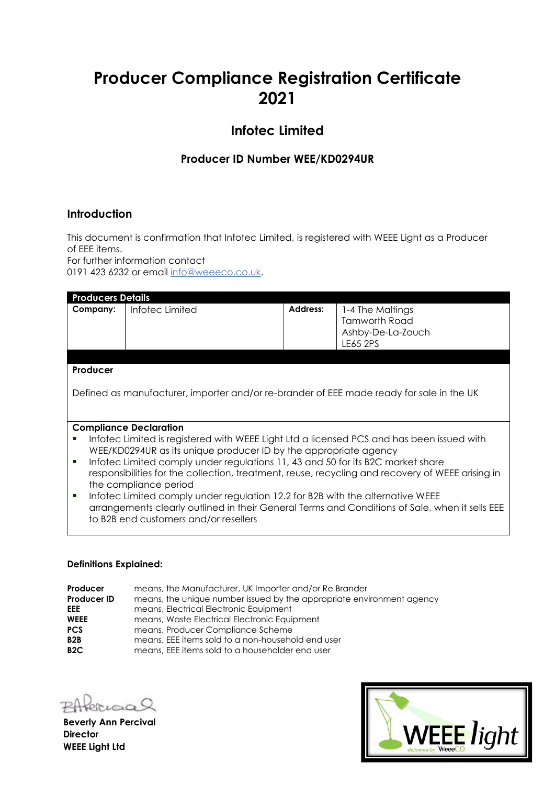# **Producer Compliance Registration Certificate 2021**

## **Infotec Limited**

### **Producer ID Number WEE/KD0294UR**

### **Introduction**

This document is confirmation that Infotec Limited, is registered with WEEE Light as a Producer of EEE items.

For further information contact 0191 423 6232 or email [info@weeeco.co.uk.](mailto:info@weeeco.co.uk)

| <b>Producers Details</b>                                                                         |                 |                 |                      |  |
|--------------------------------------------------------------------------------------------------|-----------------|-----------------|----------------------|--|
| Company:                                                                                         | Infotec Limited | <b>Address:</b> | 1-4 The Maltings     |  |
|                                                                                                  |                 |                 | <b>Tamworth Road</b> |  |
|                                                                                                  |                 |                 | Ashby-De-La-Zouch    |  |
|                                                                                                  |                 |                 | LE65 2PS             |  |
|                                                                                                  |                 |                 |                      |  |
| Producer                                                                                         |                 |                 |                      |  |
|                                                                                                  |                 |                 |                      |  |
| Defined as manufacturer, importer and/or re-brander of EEE made ready for sale in the UK         |                 |                 |                      |  |
|                                                                                                  |                 |                 |                      |  |
|                                                                                                  |                 |                 |                      |  |
| <b>Compliance Declaration</b>                                                                    |                 |                 |                      |  |
| Infotec Limited is registered with WEEE Light Ltd a licensed PCS and has been issued with<br>п   |                 |                 |                      |  |
| WEE/KD0294UR as its unique producer ID by the appropriate agency                                 |                 |                 |                      |  |
| Informed Limited comply under regulations 11, 43 and 50 for its B2C market share<br>п            |                 |                 |                      |  |
| responsibilities for the collection, treatment, reuse, recycling and recovery of WEEE arising in |                 |                 |                      |  |
| the compliance period                                                                            |                 |                 |                      |  |
| Informed Limited comply under regulation 12.2 for B2B with the alternative WEEE<br>п             |                 |                 |                      |  |
| arrangements clearly outlined in their General Terms and Conditions of Sale, when it sells EEE   |                 |                 |                      |  |
| to B2B end customers and/or resellers                                                            |                 |                 |                      |  |
|                                                                                                  |                 |                 |                      |  |

#### **Definitions Explained:**

| Producer           | means, the Manufacturer, UK Importer and/or Re Brander                |
|--------------------|-----------------------------------------------------------------------|
| <b>Producer ID</b> | means, the unique number issued by the appropriate environment agency |
| <b>EEE</b>         | means, Electrical Electronic Equipment                                |
| <b>WEEE</b>        | means, Waste Electrical Electronic Equipment                          |
| <b>PCS</b>         | means, Producer Compliance Scheme                                     |
| B <sub>2</sub> B   | means, EEE items sold to a non-household end user                     |
| B <sub>2</sub> C   | means, EEE items sold to a householder end user                       |

rusal

**Beverly Ann Percival Director WEEE Light Ltd**